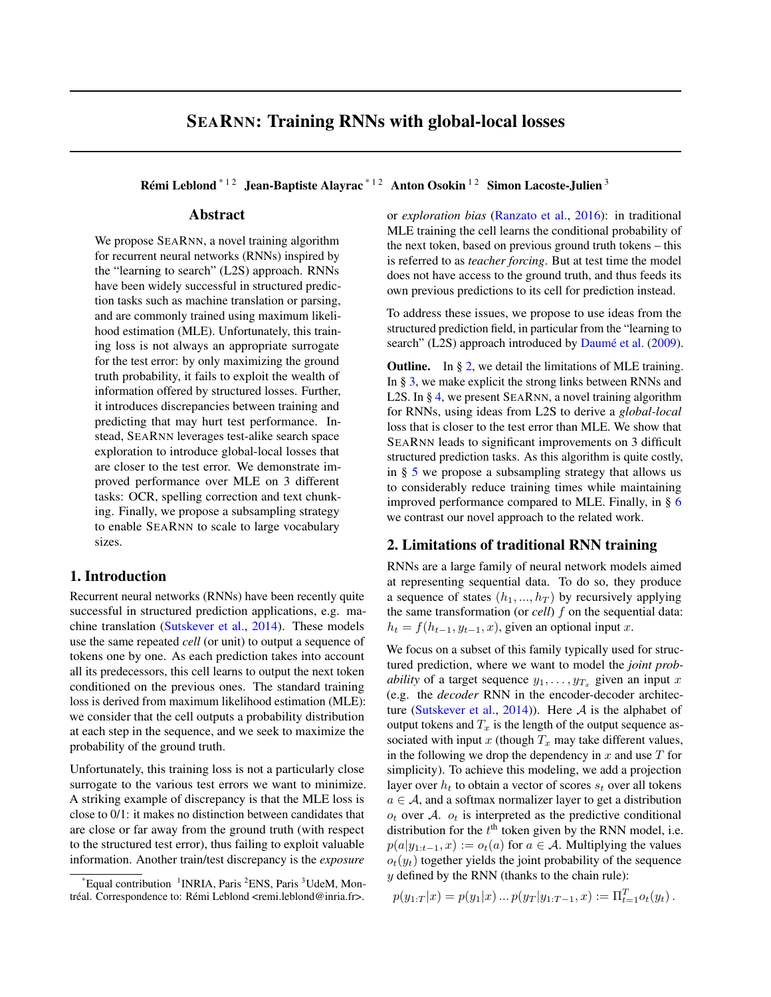# SEARNN: Training RNNs with global-local losses

Rémi Leblond<sup>\* 12</sup> Jean-Baptiste Alayrac<sup>\* 12</sup> Anton Osokin<sup>12</sup> Simon Lacoste-Julien<sup>3</sup>

#### Abstract

We propose SEARNN, a novel training algorithm for recurrent neural networks (RNNs) inspired by the "learning to search" (L2S) approach. RNNs have been widely successful in structured prediction tasks such as machine translation or parsing, and are commonly trained using maximum likelihood estimation (MLE). Unfortunately, this training loss is not always an appropriate surrogate for the test error: by only maximizing the ground truth probability, it fails to exploit the wealth of information offered by structured losses. Further, it introduces discrepancies between training and predicting that may hurt test performance. Instead, SEARNN leverages test-alike search space exploration to introduce global-local losses that are closer to the test error. We demonstrate improved performance over MLE on 3 different tasks: OCR, spelling correction and text chunking. Finally, we propose a subsampling strategy to enable SEARNN to scale to large vocabulary sizes.

#### 1. Introduction

Recurrent neural networks (RNNs) have been recently quite successful in structured prediction applications, e.g. machine translation [\(Sutskever et al.,](#page-3-0) [2014\)](#page-3-0). These models use the same repeated *cell* (or unit) to output a sequence of tokens one by one. As each prediction takes into account all its predecessors, this cell learns to output the next token conditioned on the previous ones. The standard training loss is derived from maximum likelihood estimation (MLE): we consider that the cell outputs a probability distribution at each step in the sequence, and we seek to maximize the probability of the ground truth.

Unfortunately, this training loss is not a particularly close surrogate to the various test errors we want to minimize. A striking example of discrepancy is that the MLE loss is close to 0/1: it makes no distinction between candidates that are close or far away from the ground truth (with respect to the structured test error), thus failing to exploit valuable information. Another train/test discrepancy is the *exposure*

or *exploration bias* [\(Ranzato et al.,](#page-3-0) [2016\)](#page-3-0): in traditional MLE training the cell learns the conditional probability of the next token, based on previous ground truth tokens – this is referred to as *teacher forcing*. But at test time the model does not have access to the ground truth, and thus feeds its own previous predictions to its cell for prediction instead.

To address these issues, we propose to use ideas from the structured prediction field, in particular from the "learning to search" (L2S) approach introduced by [Daumé et al.](#page-3-0) [\(2009\)](#page-3-0).

**Outline.** In  $\S 2$ , we detail the limitations of MLE training. In § [3,](#page-1-0) we make explicit the strong links between RNNs and L2S. In § [4,](#page-1-0) we present SEARNN, a novel training algorithm for RNNs, using ideas from L2S to derive a *global-local* loss that is closer to the test error than MLE. We show that SEARNN leads to significant improvements on 3 difficult structured prediction tasks. As this algorithm is quite costly, in § [5](#page-3-0) we propose a subsampling strategy that allows us to considerably reduce training times while maintaining improved performance compared to MLE. Finally, in § [6](#page-3-0) we contrast our novel approach to the related work.

# 2. Limitations of traditional RNN training

RNNs are a large family of neural network models aimed at representing sequential data. To do so, they produce a sequence of states  $(h_1, ..., h_T)$  by recursively applying the same transformation (or *cell*) f on the sequential data:  $h_t = f(h_{t-1}, y_{t-1}, x)$ , given an optional input x.

We focus on a subset of this family typically used for structured prediction, where we want to model the *joint probability* of a target sequence  $y_1, \ldots, y_{T_x}$  given an input x (e.g. the *decoder* RNN in the encoder-decoder architec-ture [\(Sutskever et al.,](#page-3-0) [2014\)](#page-3-0)). Here  $A$  is the alphabet of output tokens and  $T_x$  is the length of the output sequence associated with input x (though  $T_x$  may take different values, in the following we drop the dependency in  $x$  and use  $T$  for simplicity). To achieve this modeling, we add a projection layer over  $h_t$  to obtain a vector of scores  $s_t$  over all tokens  $a \in \mathcal{A}$ , and a softmax normalizer layer to get a distribution  $o_t$  over A.  $o_t$  is interpreted as the predictive conditional distribution for the  $t<sup>th</sup>$  token given by the RNN model, i.e.  $p(a|y_{1:t-1}, x) := o_t(a)$  for  $a \in \mathcal{A}$ . Multiplying the values  $o_t(y_t)$  together yields the joint probability of the sequence  $y$  defined by the RNN (thanks to the chain rule):

 $p(y_{1:T}|x) = p(y_1|x) ... p(y_T|y_{1:T-1},x) := \Pi_{t=1}^T o_t(y_t).$ 

 $*$ Equal contribution  $1$ INRIA, Paris  $2$ ENS, Paris  $3$ UdeM, Montréal. Correspondence to: Rémi Leblond <remi.leblond@inria.fr>.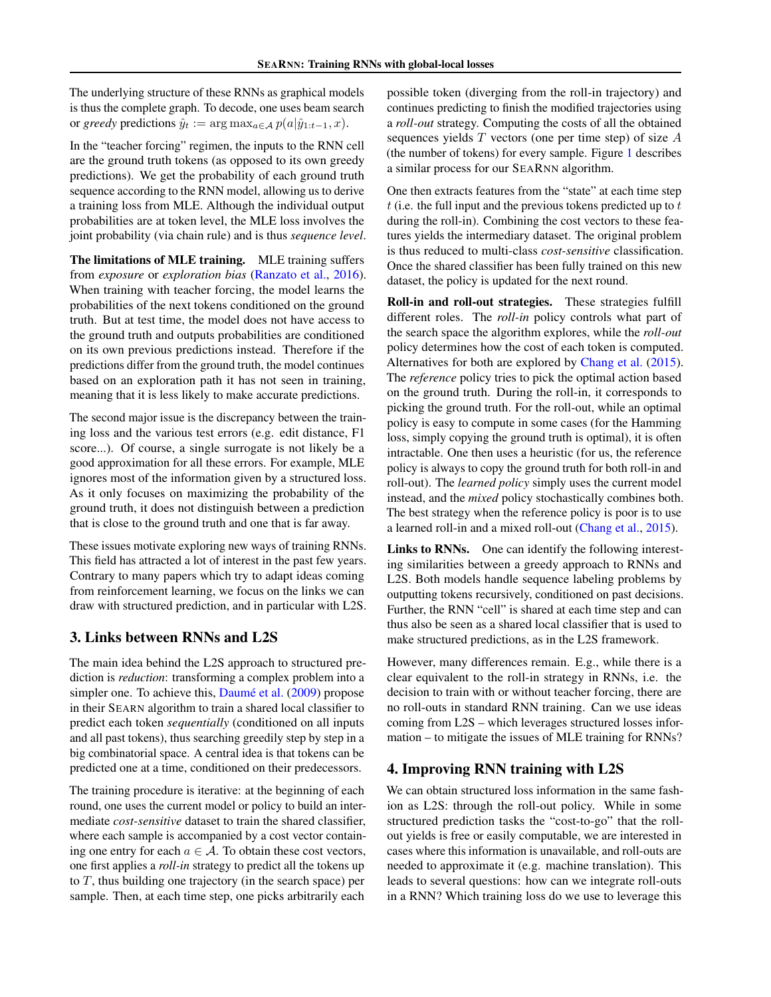<span id="page-1-0"></span>The underlying structure of these RNNs as graphical models is thus the complete graph. To decode, one uses beam search or *greedy* predictions  $\hat{y}_t := \arg \max_{a \in \mathcal{A}} p(a|\hat{y}_{1:t-1}, x)$ .

In the "teacher forcing" regimen, the inputs to the RNN cell are the ground truth tokens (as opposed to its own greedy predictions). We get the probability of each ground truth sequence according to the RNN model, allowing us to derive a training loss from MLE. Although the individual output probabilities are at token level, the MLE loss involves the joint probability (via chain rule) and is thus *sequence level*.

The limitations of MLE training. MLE training suffers from *exposure* or *exploration bias* [\(Ranzato et al.,](#page-3-0) [2016\)](#page-3-0). When training with teacher forcing, the model learns the probabilities of the next tokens conditioned on the ground truth. But at test time, the model does not have access to the ground truth and outputs probabilities are conditioned on its own previous predictions instead. Therefore if the predictions differ from the ground truth, the model continues based on an exploration path it has not seen in training, meaning that it is less likely to make accurate predictions.

The second major issue is the discrepancy between the training loss and the various test errors (e.g. edit distance, F1 score...). Of course, a single surrogate is not likely be a good approximation for all these errors. For example, MLE ignores most of the information given by a structured loss. As it only focuses on maximizing the probability of the ground truth, it does not distinguish between a prediction that is close to the ground truth and one that is far away.

These issues motivate exploring new ways of training RNNs. This field has attracted a lot of interest in the past few years. Contrary to many papers which try to adapt ideas coming from reinforcement learning, we focus on the links we can draw with structured prediction, and in particular with L2S.

# 3. Links between RNNs and L2S

The main idea behind the L2S approach to structured prediction is *reduction*: transforming a complex problem into a simpler one. To achieve this, [Daumé et al.](#page-3-0) [\(2009\)](#page-3-0) propose in their SEARN algorithm to train a shared local classifier to predict each token *sequentially* (conditioned on all inputs and all past tokens), thus searching greedily step by step in a big combinatorial space. A central idea is that tokens can be predicted one at a time, conditioned on their predecessors.

The training procedure is iterative: at the beginning of each round, one uses the current model or policy to build an intermediate *cost-sensitive* dataset to train the shared classifier, where each sample is accompanied by a cost vector containing one entry for each  $a \in \mathcal{A}$ . To obtain these cost vectors, one first applies a *roll-in* strategy to predict all the tokens up to  $T$ , thus building one trajectory (in the search space) per sample. Then, at each time step, one picks arbitrarily each

possible token (diverging from the roll-in trajectory) and continues predicting to finish the modified trajectories using a *roll-out* strategy. Computing the costs of all the obtained sequences yields  $T$  vectors (one per time step) of size  $A$ (the number of tokens) for every sample. Figure [1](#page-2-0) describes a similar process for our SEARNN algorithm.

One then extracts features from the "state" at each time step  $t$  (i.e. the full input and the previous tokens predicted up to  $t$ during the roll-in). Combining the cost vectors to these features yields the intermediary dataset. The original problem is thus reduced to multi-class *cost-sensitive* classification. Once the shared classifier has been fully trained on this new dataset, the policy is updated for the next round.

Roll-in and roll-out strategies. These strategies fulfill different roles. The *roll-in* policy controls what part of the search space the algorithm explores, while the *roll-out* policy determines how the cost of each token is computed. Alternatives for both are explored by [Chang et al.](#page-3-0) [\(2015\)](#page-3-0). The *reference* policy tries to pick the optimal action based on the ground truth. During the roll-in, it corresponds to picking the ground truth. For the roll-out, while an optimal policy is easy to compute in some cases (for the Hamming loss, simply copying the ground truth is optimal), it is often intractable. One then uses a heuristic (for us, the reference policy is always to copy the ground truth for both roll-in and roll-out). The *learned policy* simply uses the current model instead, and the *mixed* policy stochastically combines both. The best strategy when the reference policy is poor is to use a learned roll-in and a mixed roll-out [\(Chang et al.,](#page-3-0) [2015\)](#page-3-0).

Links to RNNs. One can identify the following interesting similarities between a greedy approach to RNNs and L2S. Both models handle sequence labeling problems by outputting tokens recursively, conditioned on past decisions. Further, the RNN "cell" is shared at each time step and can thus also be seen as a shared local classifier that is used to make structured predictions, as in the L2S framework.

However, many differences remain. E.g., while there is a clear equivalent to the roll-in strategy in RNNs, i.e. the decision to train with or without teacher forcing, there are no roll-outs in standard RNN training. Can we use ideas coming from L2S – which leverages structured losses information – to mitigate the issues of MLE training for RNNs?

# 4. Improving RNN training with L2S

We can obtain structured loss information in the same fashion as L2S: through the roll-out policy. While in some structured prediction tasks the "cost-to-go" that the rollout yields is free or easily computable, we are interested in cases where this information is unavailable, and roll-outs are needed to approximate it (e.g. machine translation). This leads to several questions: how can we integrate roll-outs in a RNN? Which training loss do we use to leverage this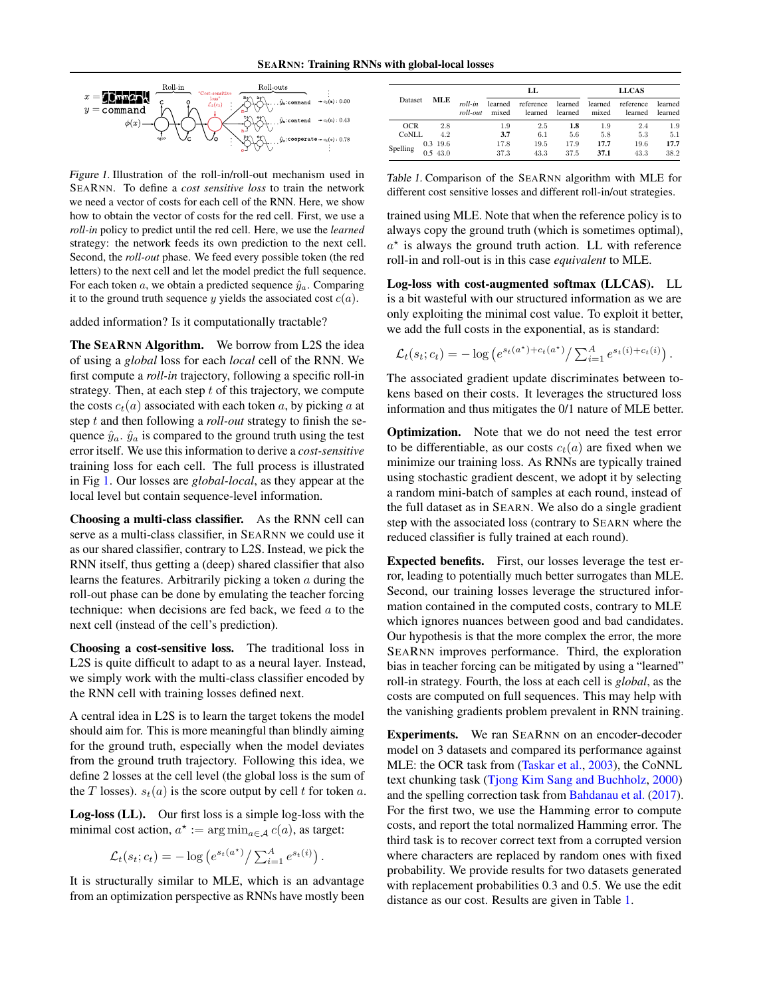<span id="page-2-0"></span>

Figure 1. Illustration of the roll-in/roll-out mechanism used in SEARNN. To define a *cost sensitive loss* to train the network we need a vector of costs for each cell of the RNN. Here, we show how to obtain the vector of costs for the red cell. First, we use a *roll-in* policy to predict until the red cell. Here, we use the *learned* strategy: the network feeds its own prediction to the next cell. Second, the *roll-out* phase. We feed every possible token (the red letters) to the next cell and let the model predict the full sequence. For each token a, we obtain a predicted sequence  $\hat{y}_a$ . Comparing it to the ground truth sequence y yields the associated cost  $c(a)$ .

added information? Is it computationally tractable?

The SEARNN Algorithm. We borrow from L2S the idea of using a *global* loss for each *local* cell of the RNN. We first compute a *roll-in* trajectory, following a specific roll-in strategy. Then, at each step  $t$  of this trajectory, we compute the costs  $c_t(a)$  associated with each token a, by picking a at step t and then following a *roll-out* strategy to finish the sequence  $\hat{y}_a$ .  $\hat{y}_a$  is compared to the ground truth using the test error itself. We use this information to derive a *cost-sensitive* training loss for each cell. The full process is illustrated in Fig 1. Our losses are *global-local*, as they appear at the local level but contain sequence-level information.

Choosing a multi-class classifier. As the RNN cell can serve as a multi-class classifier, in SEARNN we could use it as our shared classifier, contrary to L2S. Instead, we pick the RNN itself, thus getting a (deep) shared classifier that also learns the features. Arbitrarily picking a token  $a$  during the roll-out phase can be done by emulating the teacher forcing technique: when decisions are fed back, we feed  $a$  to the next cell (instead of the cell's prediction).

Choosing a cost-sensitive loss. The traditional loss in L2S is quite difficult to adapt to as a neural layer. Instead, we simply work with the multi-class classifier encoded by the RNN cell with training losses defined next.

A central idea in L2S is to learn the target tokens the model should aim for. This is more meaningful than blindly aiming for the ground truth, especially when the model deviates from the ground truth trajectory. Following this idea, we define 2 losses at the cell level (the global loss is the sum of the T losses).  $s_t(a)$  is the score output by cell t for token a.

Log-loss (LL). Our first loss is a simple log-loss with the minimal cost action,  $a^* := \arg \min_{a \in \mathcal{A}} c(a)$ , as target:

$$
\mathcal{L}_t(s_t; c_t) = -\log \left( e^{s_t(a^\star)} / \sum_{i=1}^A e^{s_t(i)} \right)
$$

.

It is structurally similar to MLE, which is an advantage from an optimization perspective as RNNs have mostly been

|            |  | MLE                 | roll-in<br>roll-out |                  | LL                   |                    | <b>LLCAS</b>     |                      |                    |  |
|------------|--|---------------------|---------------------|------------------|----------------------|--------------------|------------------|----------------------|--------------------|--|
| Dataset    |  |                     |                     | learned<br>mixed | reference<br>learned | learned<br>learned | learned<br>mixed | reference<br>learned | learned<br>learned |  |
| <b>OCR</b> |  | 2.8                 |                     | 1.9              | 2.5                  | 1.8                | 1.9              | 2.4                  | 1.9                |  |
| CoNLL      |  | 4.2                 |                     | 3.7              | 6.1                  | 5.6                | 5.8              | 5.3                  | 5.1                |  |
| Spelling   |  | 0.3 19.6<br>0.543.0 |                     | 17.8<br>37.3     | 19.5<br>43.3         | 17.9<br>37.5       | 17.7<br>37.1     | 19.6<br>43.3         | 17.7<br>38.2       |  |

Table 1. Comparison of the SEARNN algorithm with MLE for different cost sensitive losses and different roll-in/out strategies.

trained using MLE. Note that when the reference policy is to always copy the ground truth (which is sometimes optimal),  $a^*$  is always the ground truth action. LL with reference roll-in and roll-out is in this case *equivalent* to MLE.

Log-loss with cost-augmented softmax (LLCAS). LL is a bit wasteful with our structured information as we are only exploiting the minimal cost value. To exploit it better, we add the full costs in the exponential, as is standard:

$$
\mathcal{L}_t(s_t; c_t) = -\log \left( e^{s_t(a^*) + c_t(a^*)} / \sum_{i=1}^A e^{s_t(i) + c_t(i)} \right).
$$

The associated gradient update discriminates between tokens based on their costs. It leverages the structured loss information and thus mitigates the 0/1 nature of MLE better.

Optimization. Note that we do not need the test error to be differentiable, as our costs  $c_t(a)$  are fixed when we minimize our training loss. As RNNs are typically trained using stochastic gradient descent, we adopt it by selecting a random mini-batch of samples at each round, instead of the full dataset as in SEARN. We also do a single gradient step with the associated loss (contrary to SEARN where the reduced classifier is fully trained at each round).

Expected benefits. First, our losses leverage the test error, leading to potentially much better surrogates than MLE. Second, our training losses leverage the structured information contained in the computed costs, contrary to MLE which ignores nuances between good and bad candidates. Our hypothesis is that the more complex the error, the more SEARNN improves performance. Third, the exploration bias in teacher forcing can be mitigated by using a "learned" roll-in strategy. Fourth, the loss at each cell is *global*, as the costs are computed on full sequences. This may help with the vanishing gradients problem prevalent in RNN training.

Experiments. We ran SEARNN on an encoder-decoder model on 3 datasets and compared its performance against MLE: the OCR task from [\(Taskar et al.,](#page-3-0) [2003\)](#page-3-0), the CoNNL text chunking task [\(Tjong Kim Sang and Buchholz,](#page-3-0) [2000\)](#page-3-0) and the spelling correction task from [Bahdanau et al.](#page-3-0) [\(2017\)](#page-3-0). For the first two, we use the Hamming error to compute costs, and report the total normalized Hamming error. The third task is to recover correct text from a corrupted version where characters are replaced by random ones with fixed probability. We provide results for two datasets generated with replacement probabilities 0.3 and 0.5. We use the edit distance as our cost. Results are given in Table 1.